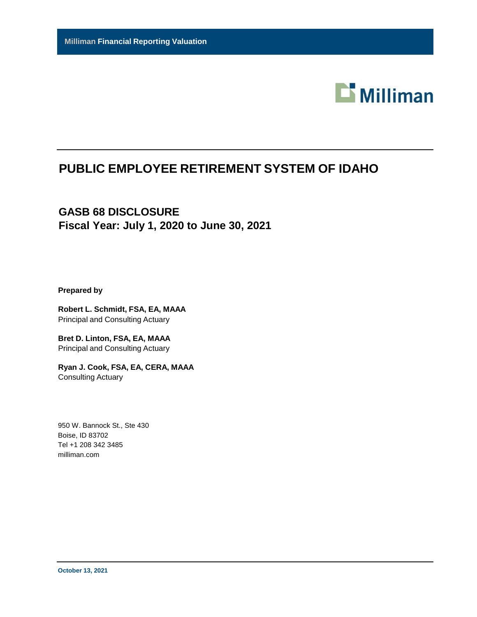

# **PUBLIC EMPLOYEE RETIREMENT SYSTEM OF IDAHO**

# **GASB 68 DISCLOSURE Fiscal Year: July 1, 2020 to June 30, 2021**

**Prepared by**

**Robert L. Schmidt, FSA, EA, MAAA** Principal and Consulting Actuary

**Bret D. Linton, FSA, EA, MAAA** Principal and Consulting Actuary

**Ryan J. Cook, FSA, EA, CERA, MAAA** Consulting Actuary

950 W. Bannock St., Ste 430 Boise, ID 83702 Tel +1 208 342 3485 milliman.com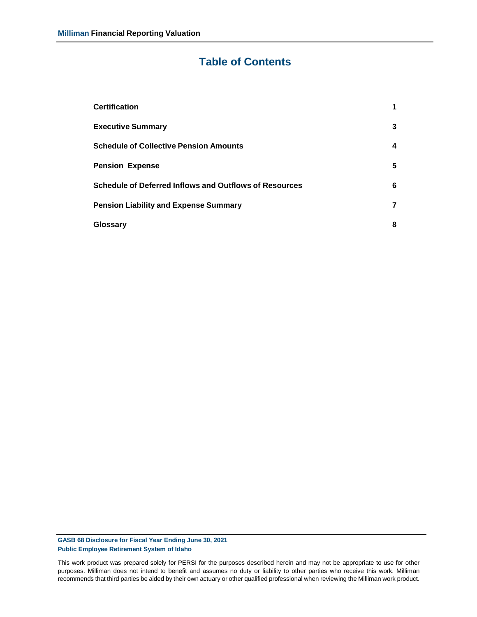# **Table of Contents**

| <b>Certification</b>                                   | 1 |
|--------------------------------------------------------|---|
| <b>Executive Summary</b>                               | 3 |
| <b>Schedule of Collective Pension Amounts</b>          | 4 |
| <b>Pension Expense</b>                                 | 5 |
| Schedule of Deferred Inflows and Outflows of Resources | 6 |
| <b>Pension Liability and Expense Summary</b>           | 7 |
| Glossary                                               | 8 |

**GASB 68 Disclosure for Fiscal Year Ending June 30, 2021 Public Employee Retirement System of Idaho**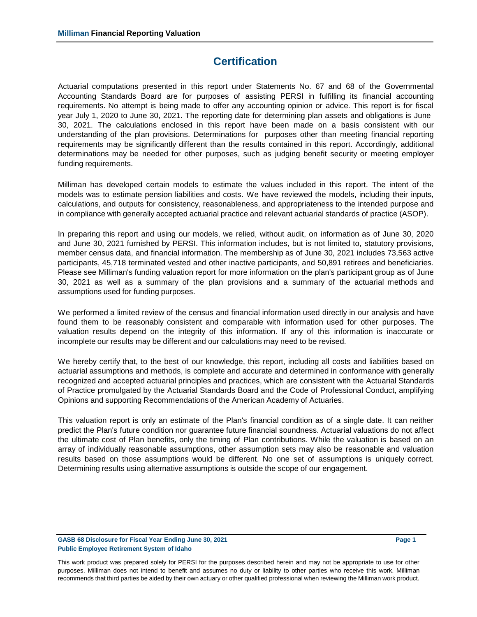## **Certification**

Actuarial computations presented in this report under Statements No. 67 and 68 of the Governmental Accounting Standards Board are for purposes of assisting PERSI in fulfilling its financial accounting requirements. No attempt is being made to offer any accounting opinion or advice. This report is for fiscal year July 1, 2020 to June 30, 2021. The reporting date for determining plan assets and obligations is June 30, 2021. The calculations enclosed in this report have been made on a basis consistent with our understanding of the plan provisions. Determinations for purposes other than meeting financial reporting requirements may be significantly different than the results contained in this report. Accordingly, additional determinations may be needed for other purposes, such as judging benefit security or meeting employer funding requirements.

Milliman has developed certain models to estimate the values included in this report. The intent of the models was to estimate pension liabilities and costs. We have reviewed the models, including their inputs, calculations, and outputs for consistency, reasonableness, and appropriateness to the intended purpose and in compliance with generally accepted actuarial practice and relevant actuarial standards of practice (ASOP).

In preparing this report and using our models, we relied, without audit, on information as of June 30, 2020 and June 30, 2021 furnished by PERSI. This information includes, but is not limited to, statutory provisions, member census data, and financial information. The membership as of June 30, 2021 includes 73,563 active participants, 45,718 terminated vested and other inactive participants, and 50,891 retirees and beneficiaries. Please see Milliman's funding valuation report for more information on the plan's participant group as of June 30, 2021 as well as a summary of the plan provisions and a summary of the actuarial methods and assumptions used for funding purposes.

We performed a limited review of the census and financial information used directly in our analysis and have found them to be reasonably consistent and comparable with information used for other purposes. The valuation results depend on the integrity of this information. If any of this information is inaccurate or incomplete our results may be different and our calculations may need to be revised.

We hereby certify that, to the best of our knowledge, this report, including all costs and liabilities based on actuarial assumptions and methods, is complete and accurate and determined in conformance with generally recognized and accepted actuarial principles and practices, which are consistent with the Actuarial Standards of Practice promulgated by the Actuarial Standards Board and the Code of Professional Conduct, amplifying Opinions and supporting Recommendations of the American Academy of Actuaries.

This valuation report is only an estimate of the Plan's financial condition as of a single date. It can neither predict the Plan's future condition nor guarantee future financial soundness. Actuarial valuations do not affect the ultimate cost of Plan benefits, only the timing of Plan contributions. While the valuation is based on an array of individually reasonable assumptions, other assumption sets may also be reasonable and valuation results based on those assumptions would be different. No one set of assumptions is uniquely correct. Determining results using alternative assumptions is outside the scope of our engagement.

#### **GASB 68 Disclosure for Fiscal Year Ending June 30, 2021 Page 1 Public Employee Retirement System of Idaho**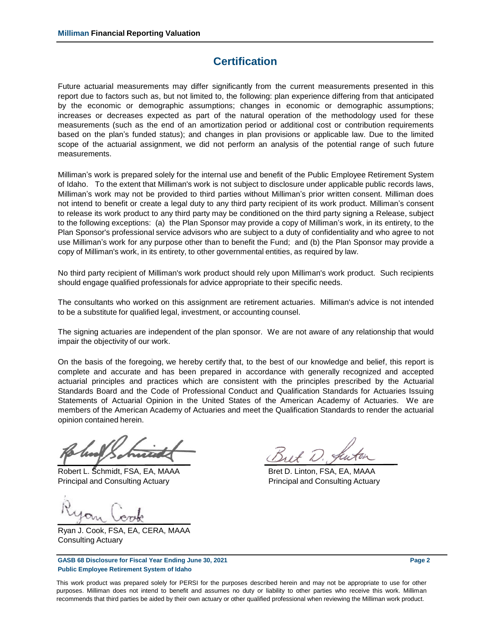## **Certification**

Future actuarial measurements may differ significantly from the current measurements presented in this report due to factors such as, but not limited to, the following: plan experience differing from that anticipated by the economic or demographic assumptions; changes in economic or demographic assumptions; increases or decreases expected as part of the natural operation of the methodology used for these measurements (such as the end of an amortization period or additional cost or contribution requirements based on the plan's funded status); and changes in plan provisions or applicable law. Due to the limited scope of the actuarial assignment, we did not perform an analysis of the potential range of such future measurements.

Milliman's work is prepared solely for the internal use and benefit of the Public Employee Retirement System of Idaho. To the extent that Milliman's work is not subject to disclosure under applicable public records laws, Milliman's work may not be provided to third parties without Milliman's prior written consent. Milliman does not intend to benefit or create a legal duty to any third party recipient of its work product. Milliman's consent to release its work product to any third party may be conditioned on the third party signing a Release, subject to the following exceptions: (a) the Plan Sponsor may provide a copy of Milliman's work, in its entirety, to the Plan Sponsor's professional service advisors who are subject to a duty of confidentiality and who agree to not use Milliman's work for any purpose other than to benefit the Fund; and (b) the Plan Sponsor may provide a copy of Milliman's work, in its entirety, to other governmental entities, as required by law.

No third party recipient of Milliman's work product should rely upon Milliman's work product. Such recipients should engage qualified professionals for advice appropriate to their specific needs.

The consultants who worked on this assignment are retirement actuaries. Milliman's advice is not intended to be a substitute for qualified legal, investment, or accounting counsel.

The signing actuaries are independent of the plan sponsor. We are not aware of any relationship that would impair the objectivity of our work.

On the basis of the foregoing, we hereby certify that, to the best of our knowledge and belief, this report is complete and accurate and has been prepared in accordance with generally recognized and accepted actuarial principles and practices which are consistent with the principles prescribed by the Actuarial Standards Board and the Code of Professional Conduct and Qualification Standards for Actuaries Issuing Statements of Actuarial Opinion in the United States of the American Academy of Actuaries. We are members of the American Academy of Actuaries and meet the Qualification Standards to render the actuarial opinion contained herein.

Robert L. Schmidt, FSA, EA, MAAA Bret D. Linton, FSA, EA, MAAA Principal and Consulting Actuary **Principal and Consulting Actuary** Principal and Consulting Actuary

Ryan J. Cook, FSA, EA, CERA, MAAA Consulting Actuary

**GASB 68 Disclosure for Fiscal Year Ending June 30, 2021 Page 2 Public Employee Retirement System of Idaho**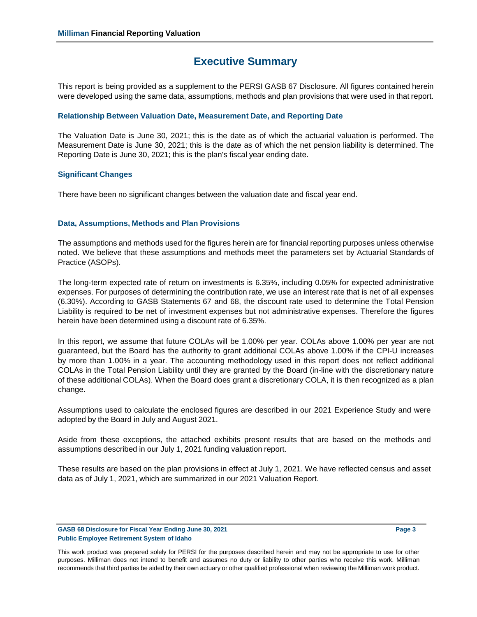### **Executive Summary**

This report is being provided as a supplement to the PERSI GASB 67 Disclosure. All figures contained herein were developed using the same data, assumptions, methods and plan provisions that were used in that report.

#### **Relationship Between Valuation Date, Measurement Date, and Reporting Date**

The Valuation Date is June 30, 2021; this is the date as of which the actuarial valuation is performed. The Measurement Date is June 30, 2021; this is the date as of which the net pension liability is determined. The Reporting Date is June 30, 2021; this is the plan's fiscal year ending date.

#### **Significant Changes**

There have been no significant changes between the valuation date and fiscal year end.

### **Data, Assumptions, Methods and Plan Provisions**

The assumptions and methods used for the figures herein are for financial reporting purposes unless otherwise noted. We believe that these assumptions and methods meet the parameters set by Actuarial Standards of Practice (ASOPs).

The long-term expected rate of return on investments is 6.35%, including 0.05% for expected administrative expenses. For purposes of determining the contribution rate, we use an interest rate that is net of all expenses (6.30%). According to GASB Statements 67 and 68, the discount rate used to determine the Total Pension Liability is required to be net of investment expenses but not administrative expenses. Therefore the figures herein have been determined using a discount rate of 6.35%.

In this report, we assume that future COLAs will be 1.00% per year. COLAs above 1.00% per year are not guaranteed, but the Board has the authority to grant additional COLAs above 1.00% if the CPI-U increases by more than 1.00% in a year. The accounting methodology used in this report does not reflect additional COLAs in the Total Pension Liability until they are granted by the Board (in-line with the discretionary nature of these additional COLAs). When the Board does grant a discretionary COLA, it is then recognized as a plan change.

Assumptions used to calculate the enclosed figures are described in our 2021 Experience Study and were adopted by the Board in July and August 2021.

Aside from these exceptions, the attached exhibits present results that are based on the methods and assumptions described in our July 1, 2021 funding valuation report.

These results are based on the plan provisions in effect at July 1, 2021. We have reflected census and asset data as of July 1, 2021, which are summarized in our 2021 Valuation Report.

**GASB 68 Disclosure for Fiscal Year Ending June 30, 2021 Page 3 Public Employee Retirement System of Idaho**

This work product was prepared solely for PERSI for the purposes described herein and may not be appropriate to use for other purposes. Milliman does not intend to benefit and assumes no duty or liability to other parties who receive this work. Milliman recommends that third parties be aided by their own actuary or other qualified professional when reviewing the Milliman work product.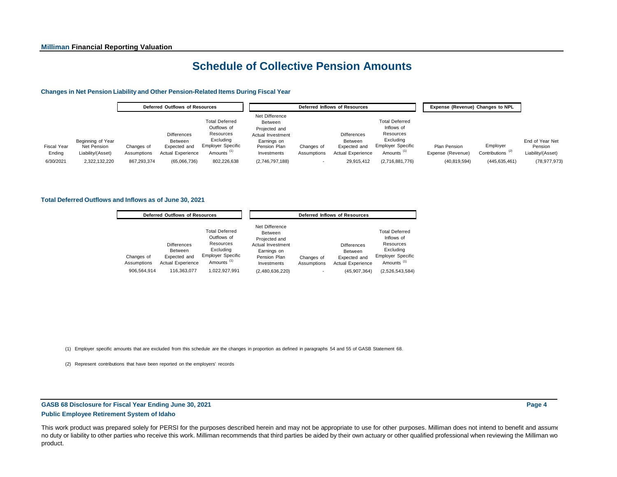## **Schedule of Collective Pension Amounts**

#### **Changes in Net Pension Liability and Other Pension-Related Items During Fiscal Year**

|                       |                                                       | <b>Deferred Outflows of Resources</b> |                                                                           |                                                                                                                      | Deferred Inflows of Resources                                                                                 |                           |                                                                           |                                                                                                                     | Expense (Revenue) Changes to NPL  |                                          |                                                 |
|-----------------------|-------------------------------------------------------|---------------------------------------|---------------------------------------------------------------------------|----------------------------------------------------------------------------------------------------------------------|---------------------------------------------------------------------------------------------------------------|---------------------------|---------------------------------------------------------------------------|---------------------------------------------------------------------------------------------------------------------|-----------------------------------|------------------------------------------|-------------------------------------------------|
| Fiscal Year<br>Ending | Beginning of Year<br>Net Pension<br>Liability/(Asset) | Changes of<br>Assumptions             | <b>Differences</b><br>Between<br>Expected and<br><b>Actual Experience</b> | <b>Total Deferred</b><br>Outflows of<br>Resources<br>Excluding<br><b>Employer Specific</b><br>Amounts <sup>(1)</sup> | Net Difference<br>Between<br>Projected and<br>Actual Investment<br>Earnings on<br>Pension Plan<br>Investments | Changes of<br>Assumptions | <b>Differences</b><br>Between<br>Expected and<br><b>Actual Experience</b> | <b>Total Deferred</b><br>Inflows of<br>Resources<br>Excluding<br><b>Employer Specific</b><br>Amounts <sup>(1)</sup> | Plan Pension<br>Expense (Revenue) | Employer<br>Contributions <sup>(2)</sup> | End of Year Net<br>Pension<br>Liability/(Asset) |
| 6/30/2021             | 2,322,132,220                                         | 867,293,374                           | (65,066,736)                                                              | 802,226,638                                                                                                          | (2,746,797,188)                                                                                               |                           | 29,915,412                                                                | (2,716,881,776)                                                                                                     | (40, 819, 594)                    | (445, 635, 461)                          | (78, 977, 973)                                  |

#### **Total Deferred Outflows and Inflows as of June 30, 2021**

|                           | <b>Deferred Outflows of Resources</b>                              |                                                                                                                      |                                                                                                                      |                           | Deferred Inflows of Resources                                             |                                                                                                                     |
|---------------------------|--------------------------------------------------------------------|----------------------------------------------------------------------------------------------------------------------|----------------------------------------------------------------------------------------------------------------------|---------------------------|---------------------------------------------------------------------------|---------------------------------------------------------------------------------------------------------------------|
| Changes of<br>Assumptions | Differences<br><b>Between</b><br>Expected and<br>Actual Experience | <b>Total Deferred</b><br>Outflows of<br>Resources<br>Excluding<br><b>Employer Specific</b><br>Amounts <sup>(1)</sup> | Net Difference<br><b>Between</b><br>Projected and<br>Actual Investment<br>Earnings on<br>Pension Plan<br>Investments | Changes of<br>Assumptions | <b>Differences</b><br>Between<br>Expected and<br><b>Actual Experience</b> | <b>Total Deferred</b><br>Inflows of<br>Resources<br>Excluding<br><b>Employer Specific</b><br>Amounts <sup>(1)</sup> |
| 906,564,914               | 116.363.077                                                        | 1.022.927.991                                                                                                        | (2,480,636,220)                                                                                                      |                           | (45.907.364)                                                              | (2,526,543,584)                                                                                                     |

(1) Employer specific amounts that are excluded from this schedule are the changes in proportion as defined in paragraphs 54 and 55 of GASB Statement 68.

(2) Represent contributions that have been reported on the employers' records

**GASB 68 Disclosure for Fiscal Year Ending June 30, 2021 Page 4 Public Employee Retirement System of Idaho**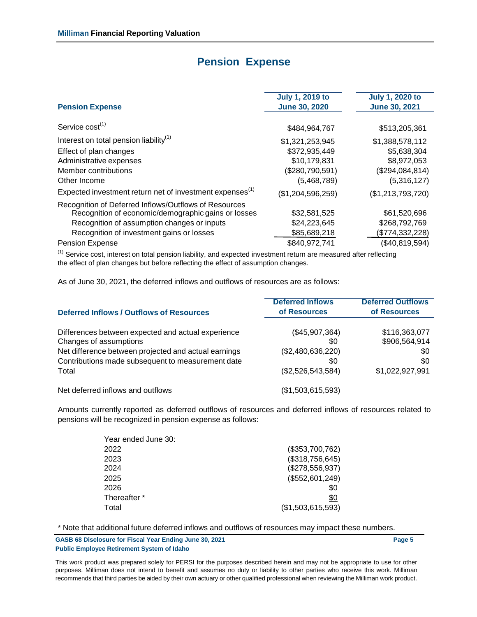# **Pension Expense**

| <b>Pension Expense</b>                                                                                                                                                                                   | <b>July 1, 2019 to</b><br><b>June 30, 2020</b> | <b>July 1, 2020 to</b><br><b>June 30, 2021</b>   |
|----------------------------------------------------------------------------------------------------------------------------------------------------------------------------------------------------------|------------------------------------------------|--------------------------------------------------|
| Service $cost^{(1)}$                                                                                                                                                                                     | \$484,964,767                                  | \$513,205,361                                    |
| Interest on total pension liability <sup>(1)</sup>                                                                                                                                                       | \$1,321,253,945                                | \$1,388,578,112                                  |
| Effect of plan changes                                                                                                                                                                                   | \$372,935,449                                  | \$5,638,304                                      |
| Administrative expenses                                                                                                                                                                                  | \$10,179,831                                   | \$8,972,053                                      |
| Member contributions                                                                                                                                                                                     | (\$280,790,591)                                | (\$294,084,814)                                  |
| Other Income                                                                                                                                                                                             | (5,468,789)                                    | (5,316,127)                                      |
| Expected investment return net of investment expenses <sup>(1)</sup>                                                                                                                                     | (\$1,204,596,259)                              | (\$1,213,793,720)                                |
| Recognition of Deferred Inflows/Outflows of Resources<br>Recognition of economic/demographic gains or losses<br>Recognition of assumption changes or inputs<br>Recognition of investment gains or losses | \$32,581,525<br>\$24,223,645<br>\$85,689,218   | \$61,520,696<br>\$268,792,769<br>(\$774,332,228) |
| Pension Expense                                                                                                                                                                                          | \$840,972,741                                  | (\$40,819,594)                                   |

 $<sup>(1)</sup>$  Service cost, interest on total pension liability, and expected investment return are measured after reflecting</sup> the effect of plan changes but before reflecting the effect of assumption changes.

As of June 30, 2021, the deferred inflows and outflows of resources are as follows:

| <b>Deferred Inflows / Outflows of Resources</b>      | <b>Deferred Inflows</b><br>of Resources | <b>Deferred Outflows</b><br>of Resources |
|------------------------------------------------------|-----------------------------------------|------------------------------------------|
| Differences between expected and actual experience   | (\$45,907,364)                          | \$116,363,077                            |
| Changes of assumptions                               | \$0                                     | \$906,564,914                            |
| Net difference between projected and actual earnings | (\$2,480,636,220)                       | \$0                                      |
| Contributions made subsequent to measurement date    | \$0                                     | <u>\$0</u>                               |
| Total                                                | (\$2,526,543,584)                       | \$1,022,927,991                          |
| Net deferred inflows and outflows                    | (\$1,503,615,593)                       |                                          |

Amounts currently reported as deferred outflows of resources and deferred inflows of resources related to pensions will be recognized in pension expense as follows:

| Year ended June 30: |                   |
|---------------------|-------------------|
| 2022                | (\$353,700,762)   |
| 2023                | (\$318,756,645)   |
| 2024                | (\$278,556,937)   |
| 2025                | (\$552,601,249)   |
| 2026                | \$0               |
| Thereafter *        | \$0               |
| Total               | (\$1,503,615,593) |
|                     |                   |

#### \* Note that additional future deferred inflows and outflows of resources may impact these numbers.

**GASB 68 Disclosure for Fiscal Year Ending June 30, 2021 Page 5 Public Employee Retirement System of Idaho**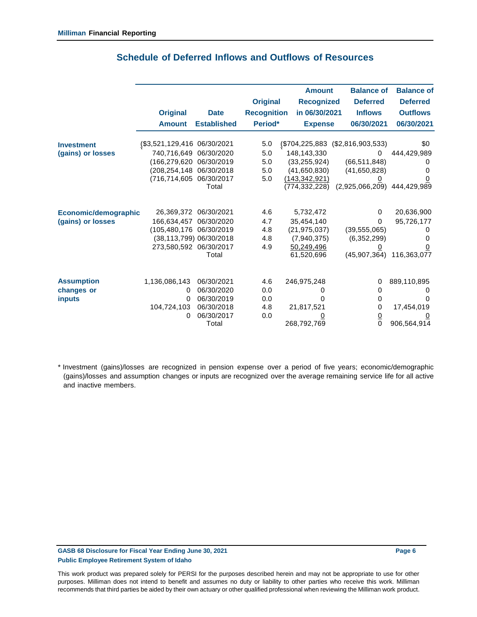<u>Value of the Second Control</u>

|                      | <b>Original</b>                        | <b>Date</b>         | <b>Original</b><br><b>Recognition</b> | <b>Amount</b><br><b>Recognized</b><br>in 06/30/2021 | <b>Balance of</b><br><b>Deferred</b><br><b>Inflows</b> | <b>Balance of</b><br><b>Deferred</b><br><b>Outflows</b> |
|----------------------|----------------------------------------|---------------------|---------------------------------------|-----------------------------------------------------|--------------------------------------------------------|---------------------------------------------------------|
|                      | <b>Amount</b>                          | <b>Established</b>  | Period*                               | <b>Expense</b>                                      | 06/30/2021                                             | 06/30/2021                                              |
| <b>Investment</b>    | (\$3,521,129,416 06/30/2021)           |                     | 5.0                                   |                                                     | $($ \$704,225,883 (\$2,816,903,533)                    | \$0                                                     |
| (gains) or losses    | 740,716,649                            | 06/30/2020          | 5.0                                   | 148,143,330                                         | 0                                                      | 444,429,989                                             |
|                      | (166,279,620                           | 06/30/2019          | 5.0                                   | (33, 255, 924)                                      | (66, 511, 848)                                         | 0                                                       |
|                      | (208,254,148                           | 06/30/2018          | 5.0                                   | (41,650,830)                                        | (41,650,828)                                           | 0                                                       |
|                      | (716,714,605                           | 06/30/2017          | 5.0                                   | (143, 342, 921)                                     | 0                                                      |                                                         |
|                      |                                        | Total               |                                       | (774,332,228)                                       | (2,925,066,209) 444,429,989                            |                                                         |
|                      | 26,369,372                             | 06/30/2021          | 4.6                                   | 5,732,472                                           | 0                                                      | 20,636,900                                              |
| Economic/demographic |                                        | 06/30/2020          |                                       |                                                     | 0                                                      |                                                         |
| (gains) or losses    | 166,634,457<br>(105,480,176 06/30/2019 |                     | 4.7<br>4.8                            | 35,454,140                                          |                                                        | 95,726,177                                              |
|                      | (38,113,799) 06/30/2018                |                     | 4.8                                   | (21, 975, 037)<br>(7,940,375)                       | (39, 555, 065)<br>(6,352,299)                          | 0<br>0                                                  |
|                      | 273,580,592 06/30/2017                 |                     | 4.9                                   | 50,249,496                                          |                                                        |                                                         |
|                      |                                        | Total               |                                       | 61,520,696                                          | (45,907,364)                                           | 116,363,077                                             |
|                      |                                        |                     |                                       |                                                     |                                                        |                                                         |
| <b>Assumption</b>    | 1,136,086,143                          | 06/30/2021          | 4.6                                   | 246,975,248                                         | 0                                                      | 889,110,895                                             |
| changes or           | 0                                      | 06/30/2020          | 0.0                                   | 0                                                   | 0                                                      | 0                                                       |
| <b>inputs</b>        | 0                                      | 06/30/2019          | 0.0                                   | 0                                                   | 0                                                      | $\Omega$                                                |
|                      | 104,724,103                            | 06/30/2018          | 4.8                                   | 21,817,521                                          | $\pmb{0}$                                              | 17,454,019                                              |
|                      | 0                                      | 06/30/2017<br>Total | 0.0                                   |                                                     | $\frac{0}{0}$                                          | 906,564,914                                             |
|                      |                                        |                     |                                       | 268,792,769                                         |                                                        |                                                         |

### **Schedule of Deferred Inflows and Outflows of Resources**

\* Investment (gains)/losses are recognized in pension expense over a period of five years; economic/demographic (gains)/losses and assumption changes or inputs are recognized over the average remaining service life for all active and inactive members.

**GASB 68 Disclosure for Fiscal Year Ending June 30, 2021 Page 6 Public Employee Retirement System of Idaho**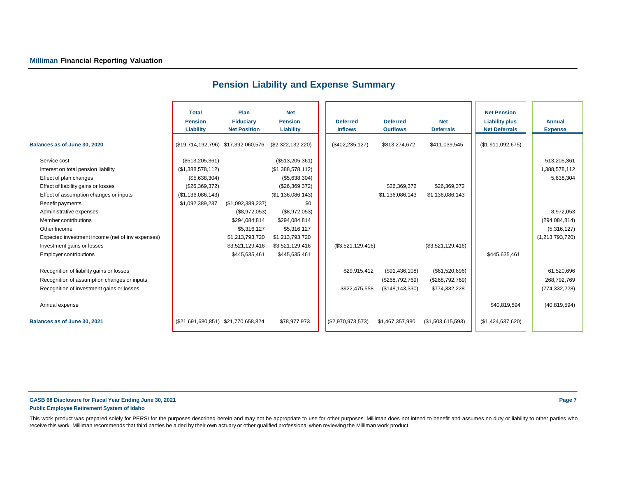|                                                                                                                      | <b>Total</b><br><b>Pension</b><br>Liability                             | Plan<br><b>Fiduciary</b><br><b>Net Position</b> | <b>Net</b><br><b>Pension</b><br>Liability                               | <b>Deferred</b><br><b>Inflows</b> | <b>Deferred</b><br><b>Outflows</b> | <b>Net</b><br><b>Deferrals</b> | <b>Net Pension</b><br><b>Liability plus</b><br><b>Net Deferrals</b> | <b>Annual</b><br><b>Expense</b>           |
|----------------------------------------------------------------------------------------------------------------------|-------------------------------------------------------------------------|-------------------------------------------------|-------------------------------------------------------------------------|-----------------------------------|------------------------------------|--------------------------------|---------------------------------------------------------------------|-------------------------------------------|
| Balances as of June 30, 2020                                                                                         | (\$19,714,192,796) \$17,392,060,576                                     |                                                 | (\$2,322,132,220)                                                       | (\$402, 235, 127)                 | \$813,274,672                      | \$411,039,545                  | (\$1,911,092,675)                                                   |                                           |
| Service cost<br>Interest on total pension liability<br>Effect of plan changes<br>Effect of liability gains or losses | (\$513,205,361)<br>(\$1,388,578,112)<br>(\$5,638,304)<br>(\$26,369,372) |                                                 | (\$513,205,361)<br>(\$1,388,578,112)<br>(\$5,638,304)<br>(\$26,369,372) |                                   | \$26,369,372                       | \$26,369,372                   |                                                                     | 513,205,361<br>1,388,578,112<br>5,638,304 |
| Effect of assumption changes or inputs                                                                               | (\$1,136,086,143)                                                       |                                                 | (\$1,136,086,143)                                                       |                                   | \$1,136,086,143                    | \$1,136,086,143                |                                                                     |                                           |
| Benefit payments                                                                                                     | \$1,092,389,237                                                         | (\$1,092,389,237)                               | \$0                                                                     |                                   |                                    |                                |                                                                     |                                           |
| Administrative expenses                                                                                              |                                                                         | (\$8,972,053)                                   | (\$8,972,053)                                                           |                                   |                                    |                                |                                                                     | 8,972,053                                 |
| Member contributions                                                                                                 |                                                                         | \$294,084,814                                   | \$294,084,814                                                           |                                   |                                    |                                |                                                                     | (294, 084, 814)                           |
| Other Income                                                                                                         |                                                                         | \$5,316,127                                     | \$5,316,127                                                             |                                   |                                    |                                |                                                                     | (5,316,127)                               |
| Expected investment income (net of inv expenses)                                                                     |                                                                         | \$1,213,793,720                                 | \$1,213,793,720                                                         |                                   |                                    |                                |                                                                     | (1,213,793,720)                           |
| Investment gains or losses                                                                                           |                                                                         | \$3,521,129,416                                 | \$3,521,129,416                                                         | (\$3,521,129,416)                 |                                    | (\$3,521,129,416)              |                                                                     |                                           |
| <b>Employer contributions</b>                                                                                        |                                                                         | \$445,635,461                                   | \$445,635,461                                                           |                                   |                                    |                                | \$445,635,461                                                       |                                           |
| Recognition of liability gains or losses                                                                             |                                                                         |                                                 |                                                                         | \$29,915,412                      | (\$91,436,108)                     | (\$61,520,696)                 |                                                                     | 61,520,696                                |
| Recognition of assumption changes or inputs                                                                          |                                                                         |                                                 |                                                                         |                                   | (\$268,792,769)                    | (\$268,792,769)                |                                                                     | 268,792,769                               |
| Recognition of investment gains or losses                                                                            |                                                                         |                                                 |                                                                         | \$922,475,558                     | (\$148, 143, 330)                  | \$774,332,228                  |                                                                     | (774, 332, 228)<br>-------------------    |
| Annual expense                                                                                                       |                                                                         |                                                 |                                                                         |                                   |                                    |                                | \$40.819.594                                                        | (40, 819, 594)                            |
| Balances as of June 30, 2021                                                                                         | ------------------<br>(\$21,691,680,851) \$21,770,658,824               |                                                 | <br>\$78,977,973                                                        | <br>(\$2,970,973,573)             | \$1,467,357,980                    | (S1,503,615,593)               | (\$1,424,637,620)                                                   |                                           |

### **Pension Liability and Expense Summary**

#### **GASB 68 Disclosure for Fiscal Year Ending June 30, 2021 Page 7**

#### **Public Employee Retirement System of Idaho**